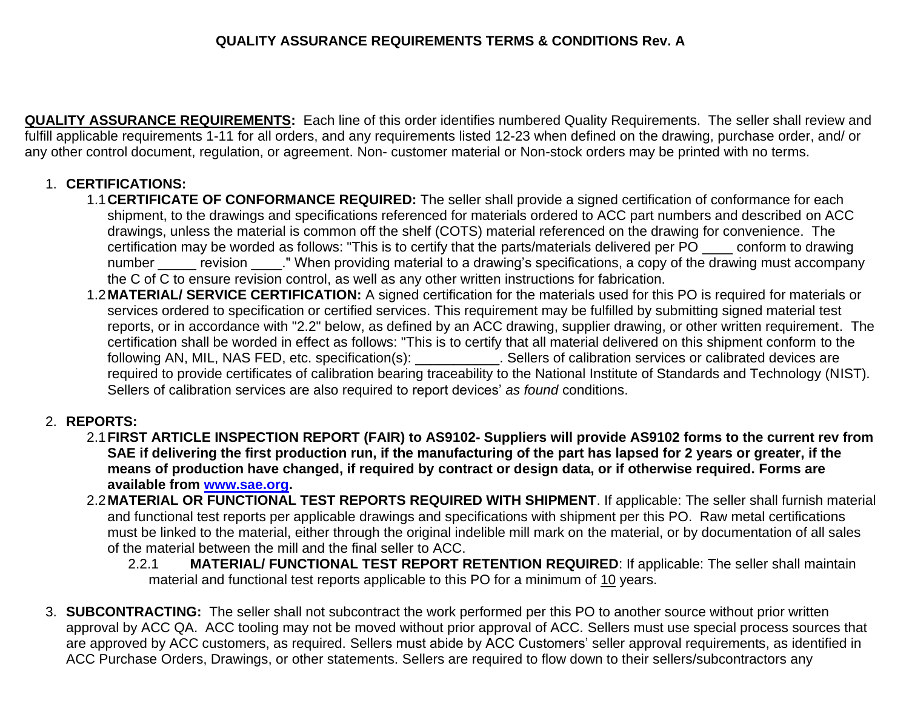## **QUALITY ASSURANCE REQUIREMENTS TERMS & CONDITIONS Rev. A**

**QUALITY ASSURANCE REQUIREMENTS:** Each line of this order identifies numbered Quality Requirements. The seller shall review and fulfill applicable requirements 1-11 for all orders, and any requirements listed 12-23 when defined on the drawing, purchase order, and/ or any other control document, regulation, or agreement. Non- customer material or Non-stock orders may be printed with no terms.

## 1. **CERTIFICATIONS:**

- 1.1**CERTIFICATE OF CONFORMANCE REQUIRED:** The seller shall provide a signed certification of conformance for each shipment, to the drawings and specifications referenced for materials ordered to ACC part numbers and described on ACC drawings, unless the material is common off the shelf (COTS) material referenced on the drawing for convenience. The certification may be worded as follows: "This is to certify that the parts/materials delivered per PO \_\_\_\_ conform to drawing number revision . " When providing material to a drawing's specifications, a copy of the drawing must accompany the C of C to ensure revision control, as well as any other written instructions for fabrication.
- 1.2**MATERIAL/ SERVICE CERTIFICATION:** A signed certification for the materials used for this PO is required for materials or services ordered to specification or certified services. This requirement may be fulfilled by submitting signed material test reports, or in accordance with "2.2" below, as defined by an ACC drawing, supplier drawing, or other written requirement. The certification shall be worded in effect as follows: "This is to certify that all material delivered on this shipment conform to the following AN, MIL, NAS FED, etc. specification(s): \_\_\_\_\_\_\_\_\_\_\_. Sellers of calibration services or calibrated devices are required to provide certificates of calibration bearing traceability to the National Institute of Standards and Technology (NIST). Sellers of calibration services are also required to report devices' *as found* conditions.

## 2. **REPORTS:**

- 2.1**FIRST ARTICLE INSPECTION REPORT (FAIR) to AS9102- Suppliers will provide AS9102 forms to the current rev from SAE if delivering the first production run, if the manufacturing of the part has lapsed for 2 years or greater, if the means of production have changed, if required by contract or design data, or if otherwise required. Forms are available from [www.sae.org.](http://www.sae.org/)**
- 2.2**MATERIAL OR FUNCTIONAL TEST REPORTS REQUIRED WITH SHIPMENT**. If applicable: The seller shall furnish material and functional test reports per applicable drawings and specifications with shipment per this PO. Raw metal certifications must be linked to the material, either through the original indelible mill mark on the material, or by documentation of all sales of the material between the mill and the final seller to ACC.
	- 2.2.1 **MATERIAL/ FUNCTIONAL TEST REPORT RETENTION REQUIRED**: If applicable: The seller shall maintain material and functional test reports applicable to this PO for a minimum of 10 years.
- 3. **SUBCONTRACTING:** The seller shall not subcontract the work performed per this PO to another source without prior written approval by ACC QA. ACC tooling may not be moved without prior approval of ACC. Sellers must use special process sources that are approved by ACC customers, as required. Sellers must abide by ACC Customers' seller approval requirements, as identified in ACC Purchase Orders, Drawings, or other statements. Sellers are required to flow down to their sellers/subcontractors any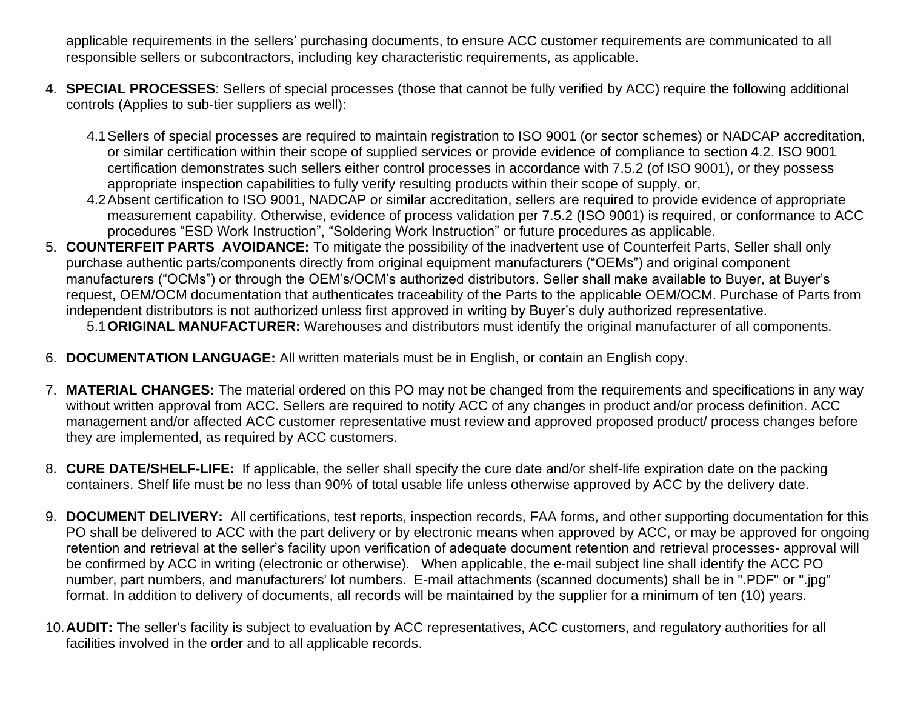applicable requirements in the sellers' purchasing documents, to ensure ACC customer requirements are communicated to all responsible sellers or subcontractors, including key characteristic requirements, as applicable.

- 4. **SPECIAL PROCESSES**: Sellers of special processes (those that cannot be fully verified by ACC) require the following additional controls (Applies to sub-tier suppliers as well):
	- 4.1Sellers of special processes are required to maintain registration to ISO 9001 (or sector schemes) or NADCAP accreditation, or similar certification within their scope of supplied services or provide evidence of compliance to section 4.2. ISO 9001 certification demonstrates such sellers either control processes in accordance with 7.5.2 (of ISO 9001), or they possess appropriate inspection capabilities to fully verify resulting products within their scope of supply, or,
	- 4.2Absent certification to ISO 9001, NADCAP or similar accreditation, sellers are required to provide evidence of appropriate measurement capability. Otherwise, evidence of process validation per 7.5.2 (ISO 9001) is required, or conformance to ACC procedures "ESD Work Instruction", "Soldering Work Instruction" or future procedures as applicable.
- 5. **COUNTERFEIT PARTS AVOIDANCE:** To mitigate the possibility of the inadvertent use of Counterfeit Parts, Seller shall only purchase authentic parts/components directly from original equipment manufacturers ("OEMs") and original component manufacturers ("OCMs") or through the OEM's/OCM's authorized distributors. Seller shall make available to Buyer, at Buyer's request, OEM/OCM documentation that authenticates traceability of the Parts to the applicable OEM/OCM. Purchase of Parts from independent distributors is not authorized unless first approved in writing by Buyer's duly authorized representative.

5.1**ORIGINAL MANUFACTURER:** Warehouses and distributors must identify the original manufacturer of all components.

- 6. **DOCUMENTATION LANGUAGE:** All written materials must be in English, or contain an English copy.
- 7. **MATERIAL CHANGES:** The material ordered on this PO may not be changed from the requirements and specifications in any way without written approval from ACC. Sellers are required to notify ACC of any changes in product and/or process definition. ACC management and/or affected ACC customer representative must review and approved proposed product/ process changes before they are implemented, as required by ACC customers.
- 8. **CURE DATE/SHELF-LIFE:** If applicable, the seller shall specify the cure date and/or shelf-life expiration date on the packing containers. Shelf life must be no less than 90% of total usable life unless otherwise approved by ACC by the delivery date.
- 9. **DOCUMENT DELIVERY:** All certifications, test reports, inspection records, FAA forms, and other supporting documentation for this PO shall be delivered to ACC with the part delivery or by electronic means when approved by ACC, or may be approved for ongoing retention and retrieval at the seller's facility upon verification of adequate document retention and retrieval processes- approval will be confirmed by ACC in writing (electronic or otherwise). When applicable, the e-mail subject line shall identify the ACC PO number, part numbers, and manufacturers' lot numbers. E-mail attachments (scanned documents) shall be in ".PDF" or ".jpg" format. In addition to delivery of documents, all records will be maintained by the supplier for a minimum of ten (10) years.
- 10.**AUDIT:** The seller's facility is subject to evaluation by ACC representatives, ACC customers, and regulatory authorities for all facilities involved in the order and to all applicable records.